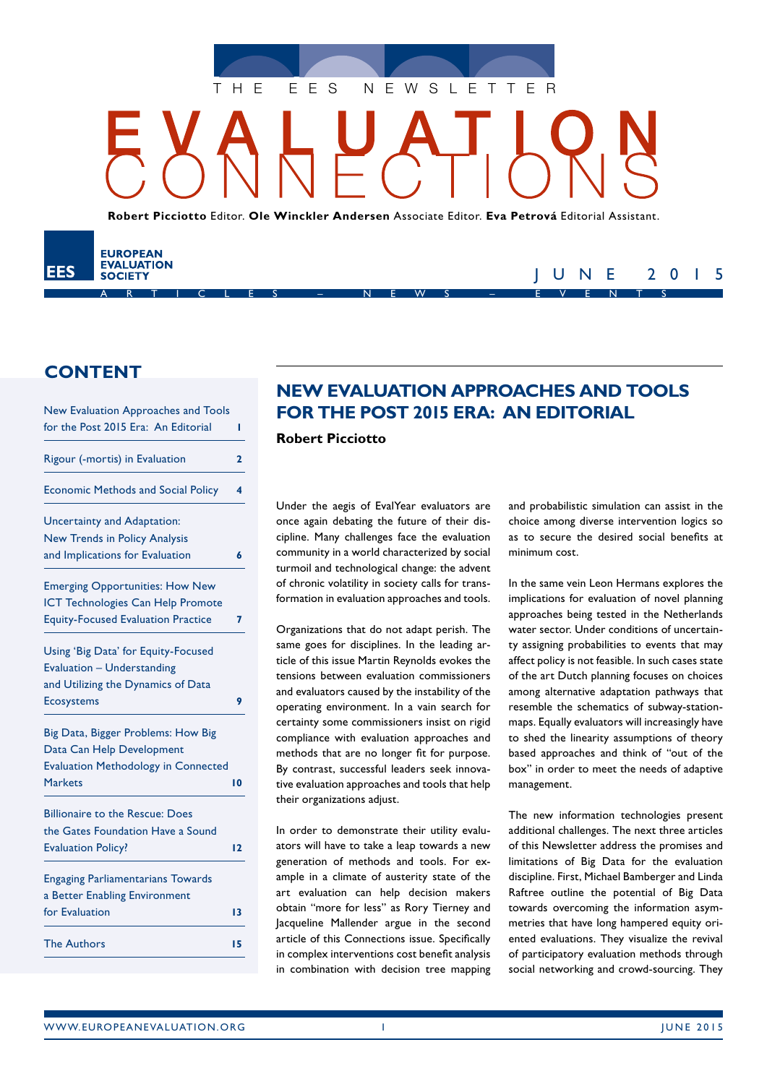

**Robert Picciotto** Editor. **Ole Winckler Andersen** Associate Editor. **Eva Petrová** Editorial Assistant.

ARTICLES – NEWS – EVENTS

# **CONTENT**

EES

**EUROPEAN EVALUATION** 

**SOCIETY** 

| New Evaluation Approaches and Tools        |    |
|--------------------------------------------|----|
| for the Post 2015 Era: An Editorial        | ı  |
| Rigour (-mortis) in Evaluation             | 2  |
| <b>Economic Methods and Social Policy</b>  | 4  |
| Uncertainty and Adaptation:                |    |
| <b>New Trends in Policy Analysis</b>       |    |
| and Implications for Evaluation            | 6  |
| <b>Emerging Opportunities: How New</b>     |    |
| ICT Technologies Can Help Promote          |    |
| <b>Equity-Focused Evaluation Practice</b>  | 7  |
| Using 'Big Data' for Equity-Focused        |    |
| Evaluation - Understanding                 |    |
| and Utilizing the Dynamics of Data         |    |
| <b>Ecosystems</b>                          | 9  |
| Big Data, Bigger Problems: How Big         |    |
| Data Can Help Development                  |    |
| <b>Evaluation Methodology in Connected</b> |    |
| <b>Markets</b>                             | 10 |
| <b>Billionaire to the Rescue: Does</b>     |    |
| the Gates Foundation Have a Sound          |    |
| <b>Evaluation Policy?</b>                  | 12 |
| <b>Engaging Parliamentarians Towards</b>   |    |
| a Better Enabling Environment              |    |
| for Evaluation                             | 13 |
| <b>The Authors</b>                         | 15 |
|                                            |    |

# **NEW EVALUATION APPROACHES AND TOOLS FOR THE POST 2015 ERA: AN EDITORIAL**

**Robert Picciotto**

Under the aegis of EvalYear evaluators are once again debating the future of their discipline. Many challenges face the evaluation community in a world characterized by social turmoil and technological change: the advent of chronic volatility in society calls for transformation in evaluation approaches and tools.

Organizations that do not adapt perish. The same goes for disciplines. In the leading article of this issue Martin Reynolds evokes the tensions between evaluation commissioners and evaluators caused by the instability of the operating environment. In a vain search for certainty some commissioners insist on rigid compliance with evaluation approaches and methods that are no longer fit for purpose. By contrast, successful leaders seek innovative evaluation approaches and tools that help their organizations adjust.

In order to demonstrate their utility evaluators will have to take a leap towards a new generation of methods and tools. For example in a climate of austerity state of the art evaluation can help decision makers obtain "more for less" as Rory Tierney and Jacqueline Mallender argue in the second article of this Connections issue. Specifically in complex interventions cost benefit analysis in combination with decision tree mapping and probabilistic simulation can assist in the choice among diverse intervention logics so as to secure the desired social benefits at minimum cost.

JUNE 2015

In the same vein Leon Hermans explores the implications for evaluation of novel planning approaches being tested in the Netherlands water sector. Under conditions of uncertainty assigning probabilities to events that may affect policy is not feasible. In such cases state of the art Dutch planning focuses on choices among alternative adaptation pathways that resemble the schematics of subway-stationmaps. Equally evaluators will increasingly have to shed the linearity assumptions of theory based approaches and think of "out of the box" in order to meet the needs of adaptive management.

The new information technologies present additional challenges. The next three articles of this Newsletter address the promises and limitations of Big Data for the evaluation discipline. First, Michael Bamberger and Linda Raftree outline the potential of Big Data towards overcoming the information asymmetries that have long hampered equity oriented evaluations. They visualize the revival of participatory evaluation methods through social networking and crowd-sourcing. They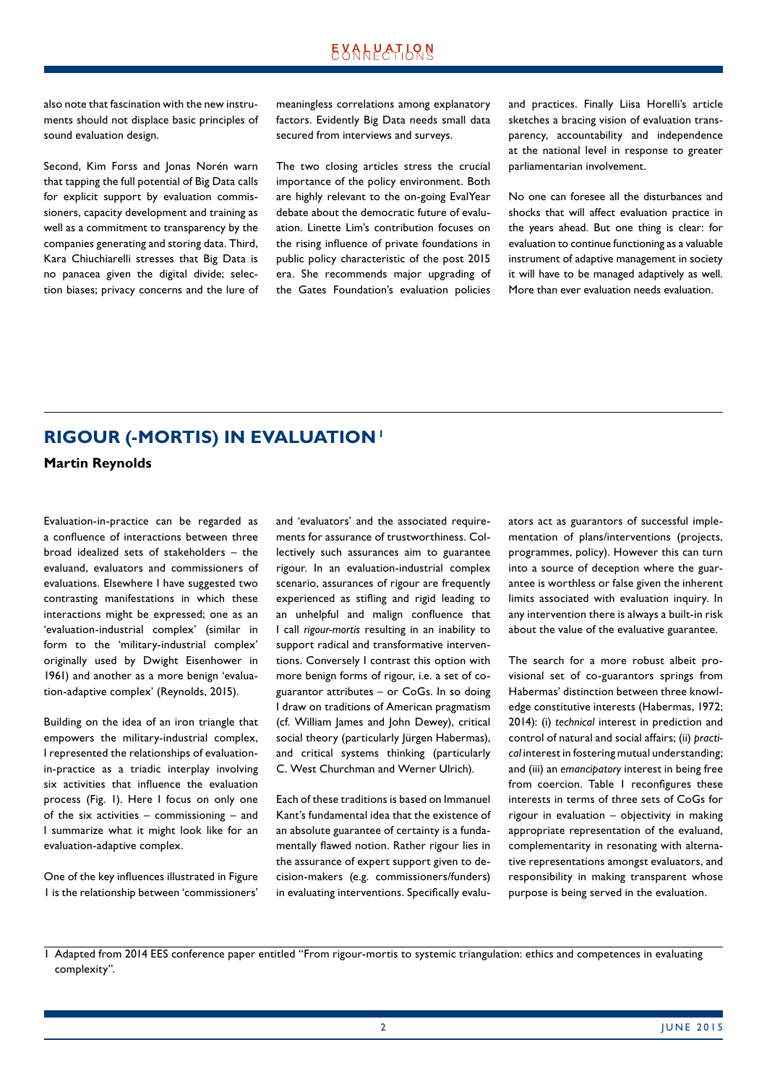<span id="page-1-0"></span>also note that fascination with the new instruments should not displace basic principles of sound evaluation design.

Second, Kim Forss and Jonas Norén warn that tapping the full potential of Big Data calls for explicit support by evaluation commissioners, capacity development and training as well as a commitment to transparency by the companies generating and storing data. Third, Kara Chiuchiarelli stresses that Big Data is no panacea given the digital divide; selection biases; privacy concerns and the lure of meaningless correlations among explanatory factors. Evidently Big Data needs small data secured from interviews and surveys.

The two closing articles stress the crucial importance of the policy environment. Both are highly relevant to the on-going EvalYear debate about the democratic future of evaluation. Linette Lim's contribution focuses on the rising influence of private foundations in public policy characteristic of the post 2015 era. She recommends major upgrading of the Gates Foundation's evaluation policies

and practices. Finally Liisa Horelli's article sketches a bracing vision of evaluation transparency, accountability and independence at the national level in response to greater parliamentarian involvement.

No one can foresee all the disturbances and shocks that will affect evaluation practice in the years ahead. But one thing is clear: for evaluation to continue functioning as a valuable instrument of adaptive management in society it will have to be managed adaptively as well. More than ever evaluation needs evaluation.

# **RIGOUR (-MORTIS) IN EVALUATION! Martin Reynolds**

Evaluation-in-practice can be regarded as a confluence of interactions between three broad idealized sets of stakeholders – the evaluand, evaluators and commissioners of evaluations. Elsewhere I have suggested two contrasting manifestations in which these interactions might be expressed; one as an 'evaluation-industrial complex' (similar in form to the 'military-industrial complex' originally used by Dwight Eisenhower in 1961) and another as a more benign 'evaluation-adaptive complex' (Reynolds, 2015).

Building on the idea of an iron triangle that empowers the military-industrial complex, I represented the relationships of evaluationin-practice as a triadic interplay involving six activities that influence the evaluation process (Fig. 1). Here I focus on only one of the six activities – commissioning – and I summarize what it might look like for an evaluation-adaptive complex.

One of the key influences illustrated in Figure 1 is the relationship between 'commissioners' and 'evaluators' and the associated requirements for assurance of trustworthiness. Collectively such assurances aim to guarantee rigour. In an evaluation-industrial complex scenario, assurances of rigour are frequently experienced as stifling and rigid leading to an unhelpful and malign confluence that I call *rigour-mortis* resulting in an inability to support radical and transformative interventions. Conversely I contrast this option with more benign forms of rigour, i.e. a set of coguarantor attributes – or CoGs. In so doing I draw on traditions of American pragmatism (cf. William James and John Dewey), critical social theory (particularly Jürgen Habermas), and critical systems thinking (particularly C. West Churchman and Werner Ulrich).

Each of these traditions is based on Immanuel Kant's fundamental idea that the existence of an absolute guarantee of certainty is a fundamentally flawed notion. Rather rigour lies in the assurance of expert support given to decision-makers (e.g. commissioners/funders) in evaluating interventions. Specifically evaluators act as guarantors of successful implementation of plans/interventions (projects, programmes, policy). However this can turn into a source of deception where the guarantee is worthless or false given the inherent limits associated with evaluation inquiry. In any intervention there is always a built-in risk about the value of the evaluative guarantee.

The search for a more robust albeit provisional set of co-guarantors springs from Habermas' distinction between three knowledge constitutive interests (Habermas, 1972; 2014): (i) *technical* interest in prediction and control of natural and social affairs; (ii) *practical* interest in fostering mutual understanding; and (iii) an *emancipatory* interest in being free from coercion. Table 1 reconfigures these interests in terms of three sets of CoGs for rigour in evaluation – objectivity in making appropriate representation of the evaluand, complementarity in resonating with alternative representations amongst evaluators, and responsibility in making transparent whose purpose is being served in the evaluation.

<sup>1</sup> Adapted from 2014 EES conference paper entitled "From rigour-mortis to systemic triangulation: ethics and competences in evaluating complexity".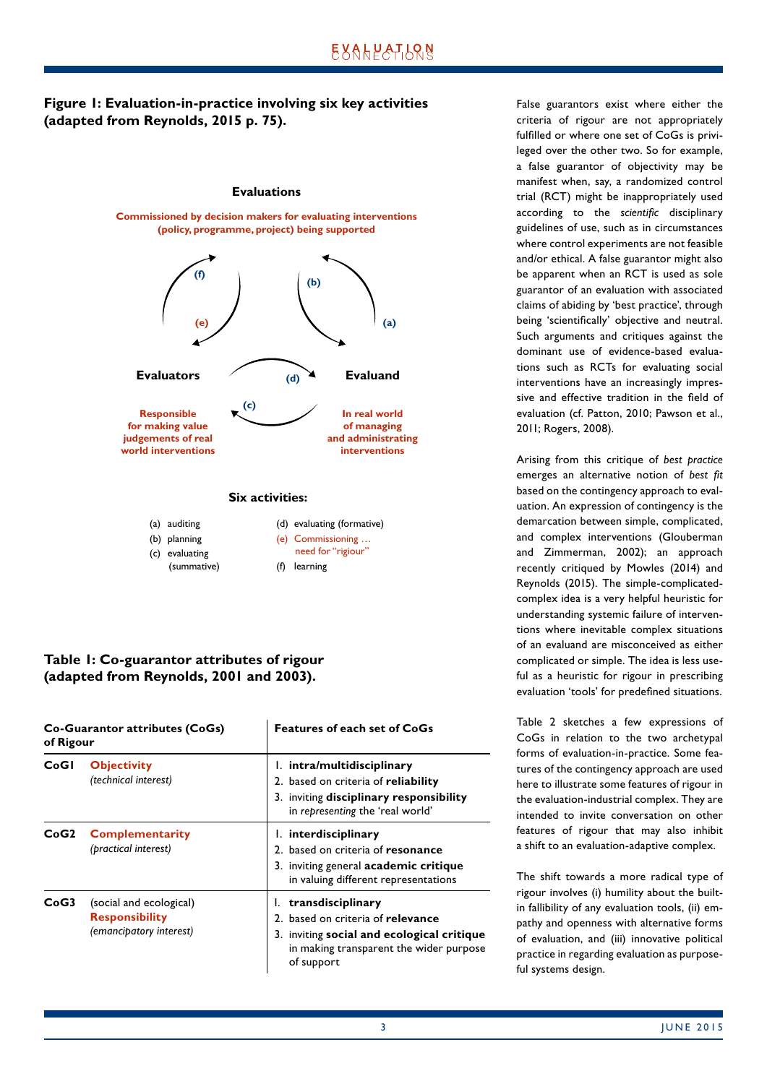### **Figure 1: Evaluation-in-practice involving six key activities (adapted from Reynolds, 2015 p. 75).**



(a) auditing (b) planning (c) evaluating (summative) (d) evaluating (formative) (e) Commissioning … need for "rigiour" (f) learning

### **Table 1: Co-guarantor attributes of rigour (adapted from Reynolds, 2001 and 2003).**

| Co-Guarantor attributes (CoGs)<br>of Rigour |                                                                             | <b>Features of each set of CoGs</b>                                                                                                                              |  |
|---------------------------------------------|-----------------------------------------------------------------------------|------------------------------------------------------------------------------------------------------------------------------------------------------------------|--|
| CoGI                                        | <b>Objectivity</b><br>(technical interest)                                  | 1. intra/multidisciplinary<br>2. based on criteria of reliability<br>3. inviting disciplinary responsibility<br>in representing the 'real world'                 |  |
| CoG2                                        | <b>Complementarity</b><br>(practical interest)                              | 1. interdisciplinary<br>2. based on criteria of resonance<br>3. inviting general academic critique<br>in valuing different representations                       |  |
| CoG3                                        | (social and ecological)<br><b>Responsibility</b><br>(emancipatory interest) | 1. transdisciplinary<br>2. based on criteria of relevance<br>3. inviting social and ecological critique<br>in making transparent the wider purpose<br>of support |  |

False guarantors exist where either the criteria of rigour are not appropriately fulfilled or where one set of CoGs is privileged over the other two. So for example, a false guarantor of objectivity may be manifest when, say, a randomized control trial (RCT) might be inappropriately used according to the *scientific* disciplinary guidelines of use, such as in circumstances where control experiments are not feasible and/or ethical. A false guarantor might also be apparent when an RCT is used as sole guarantor of an evaluation with associated claims of abiding by 'best practice', through being 'scientifically' objective and neutral. Such arguments and critiques against the dominant use of evidence-based evaluations such as RCTs for evaluating social interventions have an increasingly impressive and effective tradition in the field of evaluation (cf. Patton, 2010; Pawson et al., 2011; Rogers, 2008).

Arising from this critique of *best practice* emerges an alternative notion of *best fit* based on the contingency approach to evaluation. An expression of contingency is the demarcation between simple, complicated, and complex interventions (Glouberman and Zimmerman, 2002); an approach recently critiqued by Mowles (2014) and Reynolds (2015). The simple-complicatedcomplex idea is a very helpful heuristic for understanding systemic failure of interventions where inevitable complex situations of an evaluand are misconceived as either complicated or simple. The idea is less useful as a heuristic for rigour in prescribing evaluation 'tools' for predefined situations.

Table 2 sketches a few expressions of CoGs in relation to the two archetypal forms of evaluation-in-practice. Some features of the contingency approach are used here to illustrate some features of rigour in the evaluation-industrial complex. They are intended to invite conversation on other features of rigour that may also inhibit a shift to an evaluation-adaptive complex.

The shift towards a more radical type of rigour involves (i) humility about the builtin fallibility of any evaluation tools, (ii) empathy and openness with alternative forms of evaluation, and (iii) innovative political practice in regarding evaluation as purposeful systems design.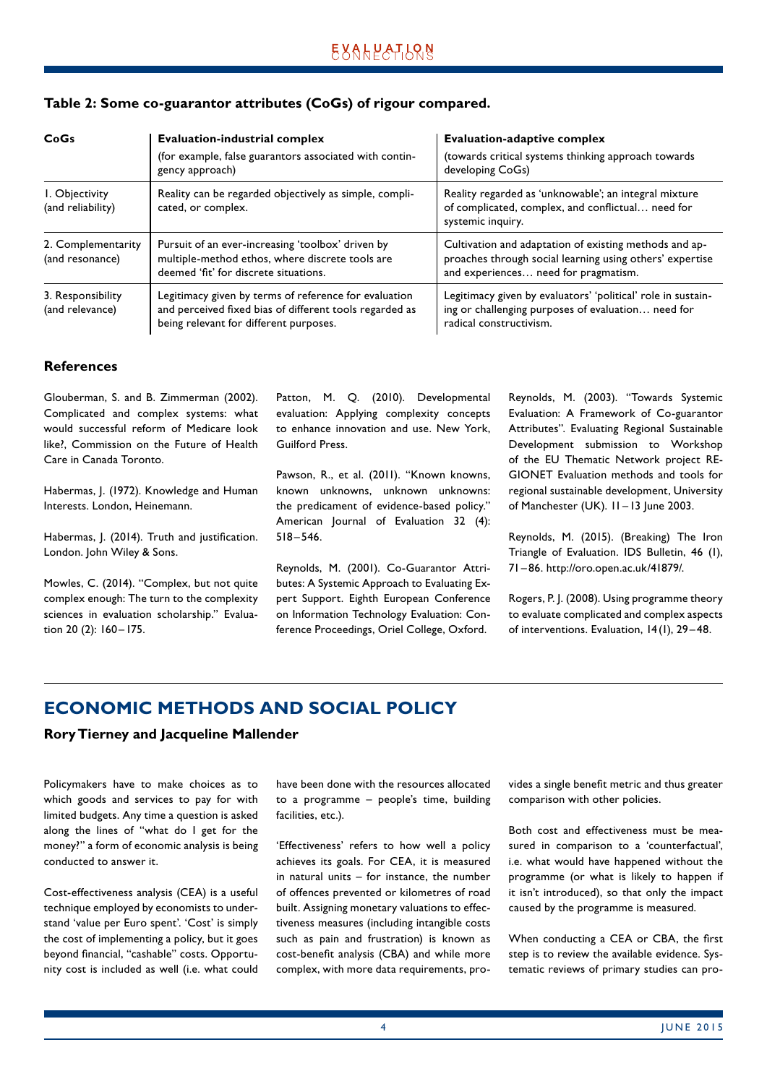### <span id="page-3-0"></span>**Table 2: Some co-guarantor attributes (CoGs) of rigour compared.**

| CoGs                                  | <b>Evaluation-industrial complex</b>                                                                                                                       | <b>Evaluation-adaptive complex</b>                                                                                                                         |  |
|---------------------------------------|------------------------------------------------------------------------------------------------------------------------------------------------------------|------------------------------------------------------------------------------------------------------------------------------------------------------------|--|
|                                       | (for example, false guarantors associated with contin-<br>gency approach)                                                                                  | (towards critical systems thinking approach towards<br>developing CoGs)                                                                                    |  |
| I. Objectivity<br>(and reliability)   | Reality can be regarded objectively as simple, compli-<br>cated, or complex.                                                                               | Reality regarded as 'unknowable'; an integral mixture<br>of complicated, complex, and conflictual need for<br>systemic inquiry.                            |  |
| 2. Complementarity<br>(and resonance) | Pursuit of an ever-increasing 'toolbox' driven by<br>multiple-method ethos, where discrete tools are<br>deemed 'fit' for discrete situations.              | Cultivation and adaptation of existing methods and ap-<br>proaches through social learning using others' expertise<br>and experiences need for pragmatism. |  |
| 3. Responsibility<br>(and relevance)  | Legitimacy given by terms of reference for evaluation<br>and perceived fixed bias of different tools regarded as<br>being relevant for different purposes. | Legitimacy given by evaluators' 'political' role in sustain-<br>ing or challenging purposes of evaluation need for<br>radical constructivism.              |  |

#### **References**

Glouberman, S. and B. Zimmerman (2002). Complicated and complex systems: what would successful reform of Medicare look like?, Commission on the Future of Health Care in Canada Toronto.

Habermas, J. (1972). Knowledge and Human Interests. London, Heinemann.

Habermas, J. (2014). Truth and justification. London. John Wiley & Sons.

Mowles, C. (2014). "Complex, but not quite complex enough: The turn to the complexity sciences in evaluation scholarship." Evaluation 20 (2): 160 - 175.

Patton, M. Q. (2010). Developmental evaluation: Applying complexity concepts to enhance innovation and use. New York, Guilford Press.

Pawson, R., et al. (2011). "Known knowns, known unknowns, unknown unknowns: the predicament of evidence-based policy." American Journal of Evaluation 32 (4): 518 –546.

Reynolds, M. (2001). Co-Guarantor Attributes: A Systemic Approach to Evaluating Expert Support. Eighth European Conference on Information Technology Evaluation: Conference Proceedings, Oriel College, Oxford.

Reynolds, M. (2003). "Towards Systemic Evaluation: A Framework of Co-guarantor Attributes". Evaluating Regional Sustainable Development submission to Workshop of the EU Thematic Network project RE-GIONET Evaluation methods and tools for regional sustainable development, University of Manchester (UK). 11-13 June 2003.

Reynolds, M. (2015). (Breaking) The Iron Triangle of Evaluation. IDS Bulletin, 46 (1), 71– 86. http://oro.open.ac.uk/41879/.

Rogers, P. J. (2008). Using programme theory to evaluate complicated and complex aspects of interventions. Evaluation, 14(1), 29 –48.

# **ECONOMIC METHODS AND SOCIAL POLICY**

#### **Rory Tierney and Jacqueline Mallender**

Policymakers have to make choices as to which goods and services to pay for with limited budgets. Any time a question is asked along the lines of "what do I get for the money?" a form of economic analysis is being conducted to answer it.

Cost-effectiveness analysis (CEA) is a useful technique employed by economists to understand 'value per Euro spent'. 'Cost' is simply the cost of implementing a policy, but it goes beyond financial, "cashable" costs. Opportunity cost is included as well (i.e. what could have been done with the resources allocated to a programme – people's time, building facilities, etc.).

'Effectiveness' refers to how well a policy achieves its goals. For CEA, it is measured in natural units – for instance, the number of offences prevented or kilometres of road built. Assigning monetary valuations to effectiveness measures (including intangible costs such as pain and frustration) is known as cost-benefit analysis (CBA) and while more complex, with more data requirements, provides a single benefit metric and thus greater comparison with other policies.

Both cost and effectiveness must be measured in comparison to a 'counterfactual', i.e. what would have happened without the programme (or what is likely to happen if it isn't introduced), so that only the impact caused by the programme is measured.

When conducting a CEA or CBA, the first step is to review the available evidence. Systematic reviews of primary studies can pro-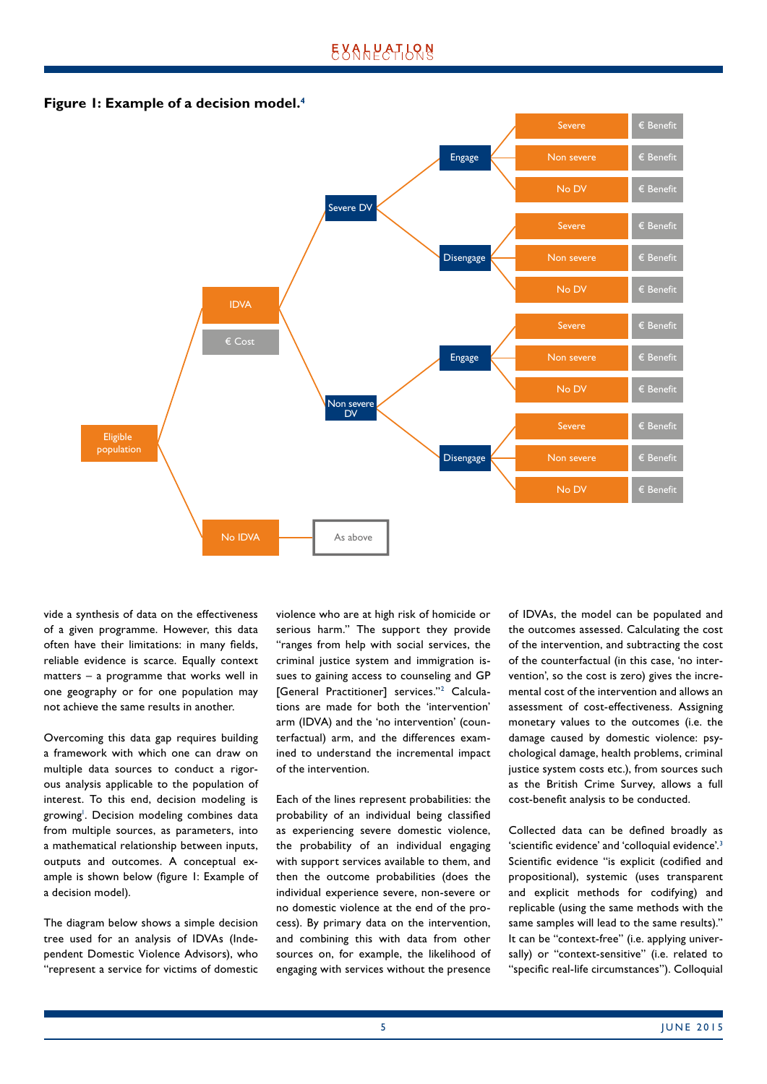

**Figure 1: Example of a decision model.4**

vide a synthesis of data on the effectiveness of a given programme. However, this data often have their limitations: in many fields, reliable evidence is scarce. Equally context matters – a programme that works well in one geography or for one population may not achieve the same results in another.

Overcoming this data gap requires building a framework with which one can draw on multiple data sources to conduct a rigorous analysis applicable to the population of interest. To this end, decision modeling is growing<sup>1</sup>. Decision modeling combines data from multiple sources, as parameters, into a mathematical relationship between inputs, outputs and outcomes. A conceptual example is shown below (figure 1: Example of a decision model).

The diagram below shows a simple decision tree used for an analysis of IDVAs (Independent Domestic Violence Advisors), who "represent a service for victims of domestic violence who are at high risk of homicide or serious harm." The support they provide "ranges from help with social services, the criminal justice system and immigration issues to gaining access to counseling and GP [General Practitioner] services."<sup>2</sup> Calculations are made for both the 'intervention' arm (IDVA) and the 'no intervention' (counterfactual) arm, and the differences examined to understand the incremental impact of the intervention.

Each of the lines represent probabilities: the probability of an individual being classified as experiencing severe domestic violence, the probability of an individual engaging with support services available to them, and then the outcome probabilities (does the individual experience severe, non-severe or no domestic violence at the end of the process). By primary data on the intervention, and combining this with data from other sources on, for example, the likelihood of engaging with services without the presence

of IDVAs, the model can be populated and the outcomes assessed. Calculating the cost of the intervention, and subtracting the cost of the counterfactual (in this case, 'no intervention', so the cost is zero) gives the incremental cost of the intervention and allows an assessment of cost-effectiveness. Assigning monetary values to the outcomes (i.e. the damage caused by domestic violence: psychological damage, health problems, criminal justice system costs etc.), from sources such as the British Crime Survey, allows a full cost-benefit analysis to be conducted.

Collected data can be defined broadly as 'scientific evidence' and 'colloquial evidence'.3 Scientific evidence "is explicit (codified and propositional), systemic (uses transparent and explicit methods for codifying) and replicable (using the same methods with the same samples will lead to the same results)." It can be "context-free" (i.e. applying universally) or "context-sensitive" (i.e. related to "specific real-life circumstances"). Colloquial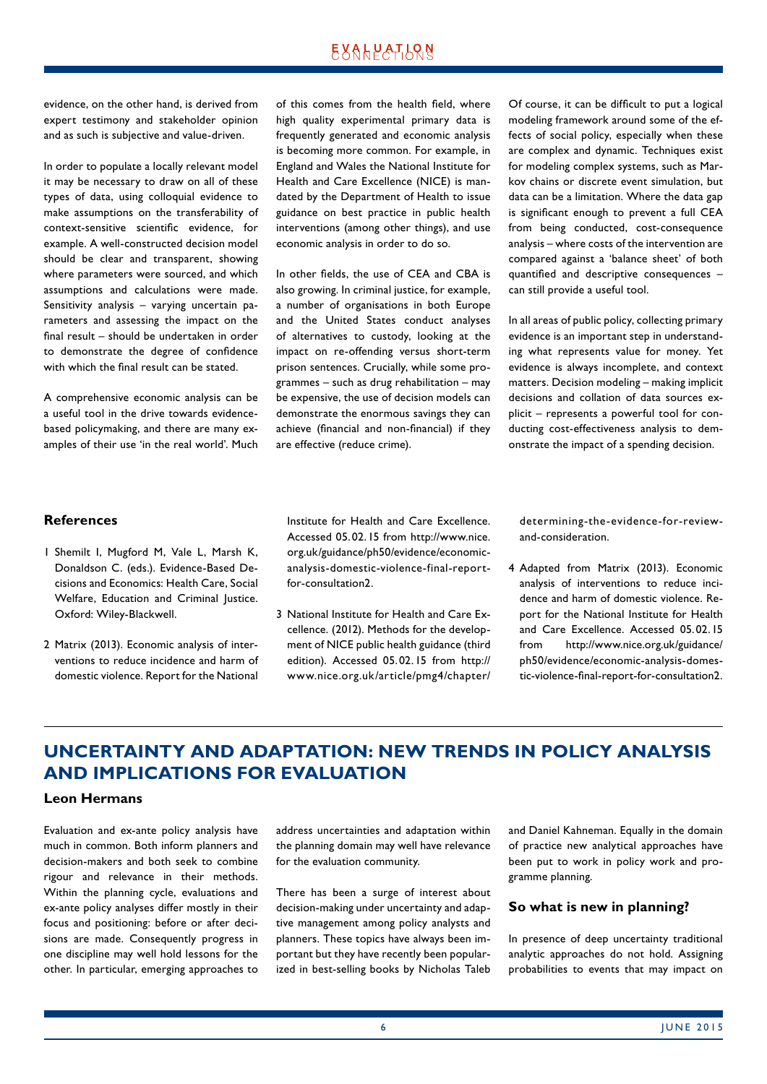<span id="page-5-0"></span>evidence, on the other hand, is derived from expert testimony and stakeholder opinion and as such is subjective and value-driven.

In order to populate a locally relevant model it may be necessary to draw on all of these types of data, using colloquial evidence to make assumptions on the transferability of context-sensitive scientific evidence, for example. A well-constructed decision model should be clear and transparent, showing where parameters were sourced, and which assumptions and calculations were made. Sensitivity analysis – varying uncertain parameters and assessing the impact on the final result – should be undertaken in order to demonstrate the degree of confidence with which the final result can be stated.

A comprehensive economic analysis can be a useful tool in the drive towards evidencebased policymaking, and there are many examples of their use 'in the real world'. Much of this comes from the health field, where high quality experimental primary data is frequently generated and economic analysis is becoming more common. For example, in England and Wales the National Institute for Health and Care Excellence (NICE) is mandated by the Department of Health to issue guidance on best practice in public health interventions (among other things), and use economic analysis in order to do so.

In other fields, the use of CEA and CBA is also growing. In criminal justice, for example, a number of organisations in both Europe and the United States conduct analyses of alternatives to custody, looking at the impact on re-offending versus short-term prison sentences. Crucially, while some programmes – such as drug rehabilitation – may be expensive, the use of decision models can demonstrate the enormous savings they can achieve (financial and non-financial) if they are effective (reduce crime).

Of course, it can be difficult to put a logical modeling framework around some of the effects of social policy, especially when these are complex and dynamic. Techniques exist for modeling complex systems, such as Markov chains or discrete event simulation, but data can be a limitation. Where the data gap is significant enough to prevent a full CEA from being conducted, cost-consequence analysis – where costs of the intervention are compared against a 'balance sheet' of both quantified and descriptive consequences – can still provide a useful tool.

In all areas of public policy, collecting primary evidence is an important step in understanding what represents value for money. Yet evidence is always incomplete, and context matters. Decision modeling – making implicit decisions and collation of data sources explicit – represents a powerful tool for conducting cost-effectiveness analysis to demonstrate the impact of a spending decision.

#### **References**

- 1 Shemilt I, Mugford M, Vale L, Marsh K, Donaldson C. (eds.). Evidence-Based Decisions and Economics: Health Care, Social Welfare, Education and Criminal Justice. Oxford: Wiley-Blackwell.
- 2 Matrix (2013). Economic analysis of interventions to reduce incidence and harm of domestic violence. Report for the National

Institute for Health and Care Excellence. Accessed 05. 02.15 from http://www.nice. org.uk/guidance/ph50/evidence/economicanalysis-domestic-violence-final-reportfor-consultation2.

3 National Institute for Health and Care Excellence. (2012). Methods for the development of NICE public health guidance (third edition). Accessed 05. 02.15 from http:// www.nice.org.uk/article/pmg4/chapter/ determining-the-evidence-for-reviewand-consideration.

4 Adapted from Matrix (2013). Economic analysis of interventions to reduce incidence and harm of domestic violence. Report for the National Institute for Health and Care Excellence. Accessed 05.02.15 from http://www.nice.org.uk/guidance/ ph50/evidence/economic-analysis-domestic-violence-final-report-for-consultation2.

# **UNCERTAINTY AND ADAPTATION: NEW TRENDS IN POLICY ANALYSIS AND IMPLICATIONS FOR EVALUATION**

#### **Leon Hermans**

Evaluation and ex-ante policy analysis have much in common. Both inform planners and decision-makers and both seek to combine rigour and relevance in their methods. Within the planning cycle, evaluations and ex-ante policy analyses differ mostly in their focus and positioning: before or after decisions are made. Consequently progress in one discipline may well hold lessons for the other. In particular, emerging approaches to address uncertainties and adaptation within the planning domain may well have relevance for the evaluation community.

There has been a surge of interest about decision-making under uncertainty and adaptive management among policy analysts and planners. These topics have always been important but they have recently been popularized in best-selling books by Nicholas Taleb

and Daniel Kahneman. Equally in the domain of practice new analytical approaches have been put to work in policy work and programme planning.

#### **So what is new in planning?**

In presence of deep uncertainty traditional analytic approaches do not hold. Assigning probabilities to events that may impact on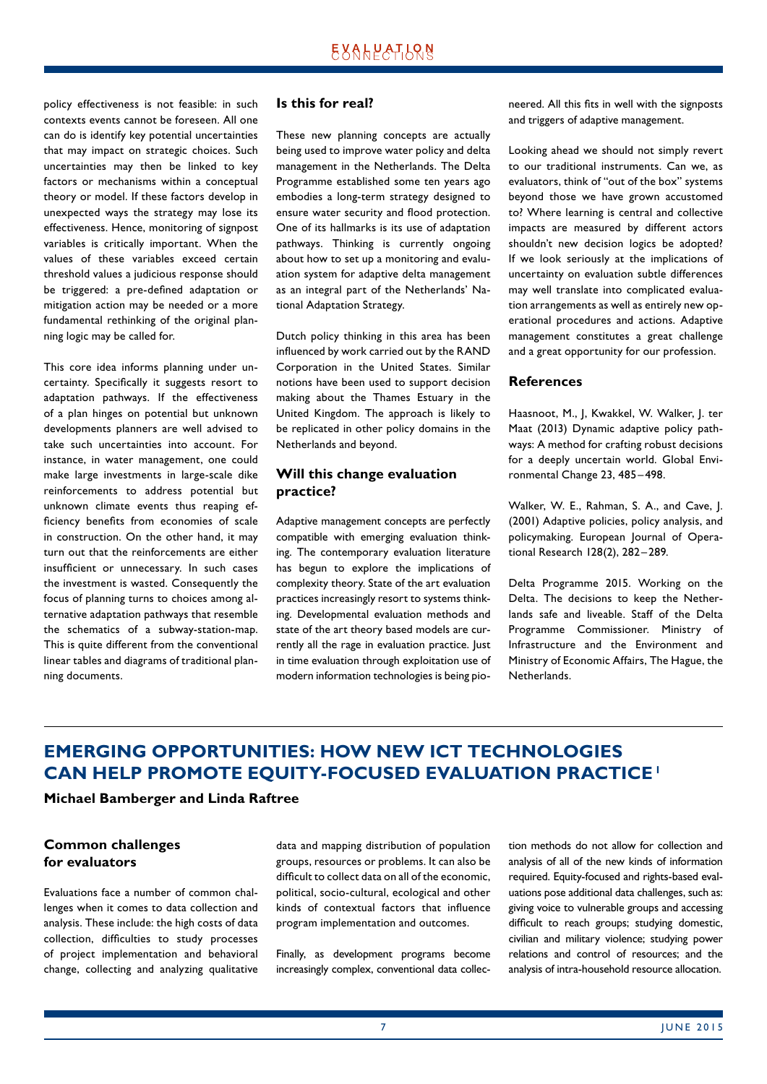<span id="page-6-0"></span>policy effectiveness is not feasible: in such contexts events cannot be foreseen. All one can do is identify key potential uncertainties that may impact on strategic choices. Such uncertainties may then be linked to key factors or mechanisms within a conceptual theory or model. If these factors develop in unexpected ways the strategy may lose its effectiveness. Hence, monitoring of signpost variables is critically important. When the values of these variables exceed certain threshold values a judicious response should be triggered: a pre-defined adaptation or mitigation action may be needed or a more fundamental rethinking of the original planning logic may be called for.

This core idea informs planning under uncertainty. Specifically it suggests resort to adaptation pathways. If the effectiveness of a plan hinges on potential but unknown developments planners are well advised to take such uncertainties into account. For instance, in water management, one could make large investments in large-scale dike reinforcements to address potential but unknown climate events thus reaping efficiency benefits from economies of scale in construction. On the other hand, it may turn out that the reinforcements are either insufficient or unnecessary. In such cases the investment is wasted. Consequently the focus of planning turns to choices among alternative adaptation pathways that resemble the schematics of a subway-station-map. This is quite different from the conventional linear tables and diagrams of traditional planning documents.

#### **Is this for real?**

These new planning concepts are actually being used to improve water policy and delta management in the Netherlands. The Delta Programme established some ten years ago embodies a long-term strategy designed to ensure water security and flood protection. One of its hallmarks is its use of adaptation pathways. Thinking is currently ongoing about how to set up a monitoring and evaluation system for adaptive delta management as an integral part of the Netherlands' National Adaptation Strategy.

Dutch policy thinking in this area has been influenced by work carried out by the RAND Corporation in the United States. Similar notions have been used to support decision making about the Thames Estuary in the United Kingdom. The approach is likely to be replicated in other policy domains in the Netherlands and beyond.

### **Will this change evaluation practice?**

Adaptive management concepts are perfectly compatible with emerging evaluation thinking. The contemporary evaluation literature has begun to explore the implications of complexity theory. State of the art evaluation practices increasingly resort to systems thinking. Developmental evaluation methods and state of the art theory based models are currently all the rage in evaluation practice. Just in time evaluation through exploitation use of modern information technologies is being pioneered. All this fits in well with the signposts and triggers of adaptive management.

Looking ahead we should not simply revert to our traditional instruments. Can we, as evaluators, think of "out of the box" systems beyond those we have grown accustomed to? Where learning is central and collective impacts are measured by different actors shouldn't new decision logics be adopted? If we look seriously at the implications of uncertainty on evaluation subtle differences may well translate into complicated evaluation arrangements as well as entirely new operational procedures and actions. Adaptive management constitutes a great challenge and a great opportunity for our profession.

#### **References**

Haasnoot, M., J, Kwakkel, W. Walker, J. ter Maat (2013) Dynamic adaptive policy pathways: A method for crafting robust decisions for a deeply uncertain world. Global Environmental Change 23, 485-498.

Walker, W. E., Rahman, S. A., and Cave, J. (2001) Adaptive policies, policy analysis, and policymaking. European Journal of Operational Research 128(2), 282–289.

Delta Programme 2015. Working on the Delta. The decisions to keep the Netherlands safe and liveable. Staff of the Delta Programme Commissioner. Ministry of Infrastructure and the Environment and Ministry of Economic Affairs, The Hague, the Netherlands.

# **EMERGING OPPORTUNITIES: HOW NEW ICT TECHNOLOGIES CAN HELP PROMOTE EQUITY-FOCUSED EVALUATION PRACTICE<sup>1</sup>**

**Michael Bamberger and Linda Raftree**

### **Common challenges for evaluators**

Evaluations face a number of common challenges when it comes to data collection and analysis. These include: the high costs of data collection, difficulties to study processes of project implementation and behavioral change, collecting and analyzing qualitative

data and mapping distribution of population groups, resources or problems. It can also be difficult to collect data on all of the economic, political, socio-cultural, ecological and other kinds of contextual factors that influence program implementation and outcomes.

Finally, as development programs become increasingly complex, conventional data collection methods do not allow for collection and analysis of all of the new kinds of information required. Equity-focused and rights-based evaluations pose additional data challenges, such as: giving voice to vulnerable groups and accessing difficult to reach groups; studying domestic, civilian and military violence; studying power relations and control of resources; and the analysis of intra-household resource allocation.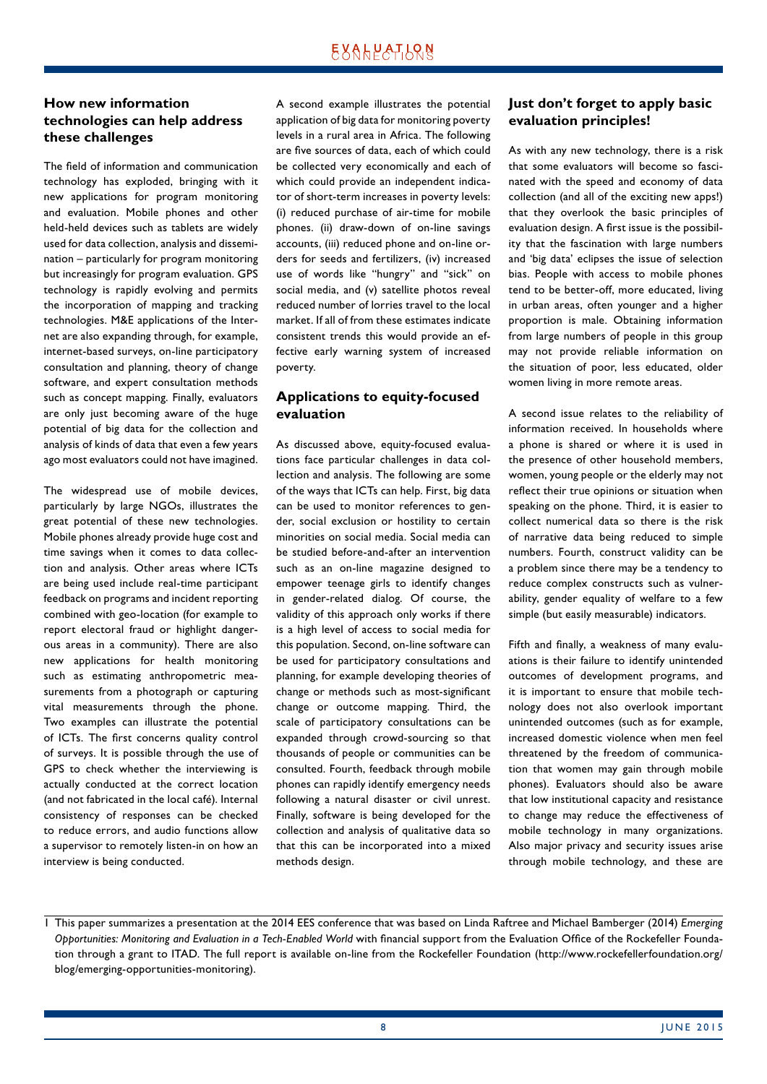### **How new information technologies can help address these challenges**

The field of information and communication technology has exploded, bringing with it new applications for program monitoring and evaluation. Mobile phones and other held-held devices such as tablets are widely used for data collection, analysis and dissemination – particularly for program monitoring but increasingly for program evaluation. GPS technology is rapidly evolving and permits the incorporation of mapping and tracking technologies. M&E applications of the Internet are also expanding through, for example, internet-based surveys, on-line participatory consultation and planning, theory of change software, and expert consultation methods such as concept mapping. Finally, evaluators are only just becoming aware of the huge potential of big data for the collection and analysis of kinds of data that even a few years ago most evaluators could not have imagined.

The widespread use of mobile devices, particularly by large NGOs, illustrates the great potential of these new technologies. Mobile phones already provide huge cost and time savings when it comes to data collection and analysis. Other areas where ICTs are being used include real-time participant feedback on programs and incident reporting combined with geo-location (for example to report electoral fraud or highlight dangerous areas in a community). There are also new applications for health monitoring such as estimating anthropometric measurements from a photograph or capturing vital measurements through the phone. Two examples can illustrate the potential of ICTs. The first concerns quality control of surveys. It is possible through the use of GPS to check whether the interviewing is actually conducted at the correct location (and not fabricated in the local café). Internal consistency of responses can be checked to reduce errors, and audio functions allow a supervisor to remotely listen-in on how an interview is being conducted.

A second example illustrates the potential application of big data for monitoring poverty levels in a rural area in Africa. The following are five sources of data, each of which could be collected very economically and each of which could provide an independent indicator of short-term increases in poverty levels: (i) reduced purchase of air-time for mobile phones. (ii) draw-down of on-line savings accounts, (iii) reduced phone and on-line orders for seeds and fertilizers, (iv) increased use of words like "hungry" and "sick" on social media, and (v) satellite photos reveal reduced number of lorries travel to the local market. If all of from these estimates indicate consistent trends this would provide an effective early warning system of increased poverty.

### **Applications to equity-focused evaluation**

As discussed above, equity-focused evaluations face particular challenges in data collection and analysis. The following are some of the ways that ICTs can help. First, big data can be used to monitor references to gender, social exclusion or hostility to certain minorities on social media. Social media can be studied before-and-after an intervention such as an on-line magazine designed to empower teenage girls to identify changes in gender-related dialog. Of course, the validity of this approach only works if there is a high level of access to social media for this population. Second, on-line software can be used for participatory consultations and planning, for example developing theories of change or methods such as most-significant change or outcome mapping. Third, the scale of participatory consultations can be expanded through crowd-sourcing so that thousands of people or communities can be consulted. Fourth, feedback through mobile phones can rapidly identify emergency needs following a natural disaster or civil unrest. Finally, software is being developed for the collection and analysis of qualitative data so that this can be incorporated into a mixed methods design.

### **Just don't forget to apply basic evaluation principles!**

As with any new technology, there is a risk that some evaluators will become so fascinated with the speed and economy of data collection (and all of the exciting new apps!) that they overlook the basic principles of evaluation design. A first issue is the possibility that the fascination with large numbers and 'big data' eclipses the issue of selection bias. People with access to mobile phones tend to be better-off, more educated, living in urban areas, often younger and a higher proportion is male. Obtaining information from large numbers of people in this group may not provide reliable information on the situation of poor, less educated, older women living in more remote areas.

A second issue relates to the reliability of information received. In households where a phone is shared or where it is used in the presence of other household members, women, young people or the elderly may not reflect their true opinions or situation when speaking on the phone. Third, it is easier to collect numerical data so there is the risk of narrative data being reduced to simple numbers. Fourth, construct validity can be a problem since there may be a tendency to reduce complex constructs such as vulnerability, gender equality of welfare to a few simple (but easily measurable) indicators.

Fifth and finally, a weakness of many evaluations is their failure to identify unintended outcomes of development programs, and it is important to ensure that mobile technology does not also overlook important unintended outcomes (such as for example, increased domestic violence when men feel threatened by the freedom of communication that women may gain through mobile phones). Evaluators should also be aware that low institutional capacity and resistance to change may reduce the effectiveness of mobile technology in many organizations. Also major privacy and security issues arise through mobile technology, and these are

<sup>1</sup> This paper summarizes a presentation at the 2014 EES conference that was based on Linda Raftree and Michael Bamberger (2014) *Emerging Opportunities: Monitoring and Evaluation in a Tech-Enabled World* with financial support from the Evaluation Office of the Rockefeller Foundation through a grant to ITAD. The full report is available on-line from the Rockefeller Foundation (http://www.rockefellerfoundation.org/ blog/emerging-opportunities-monitoring).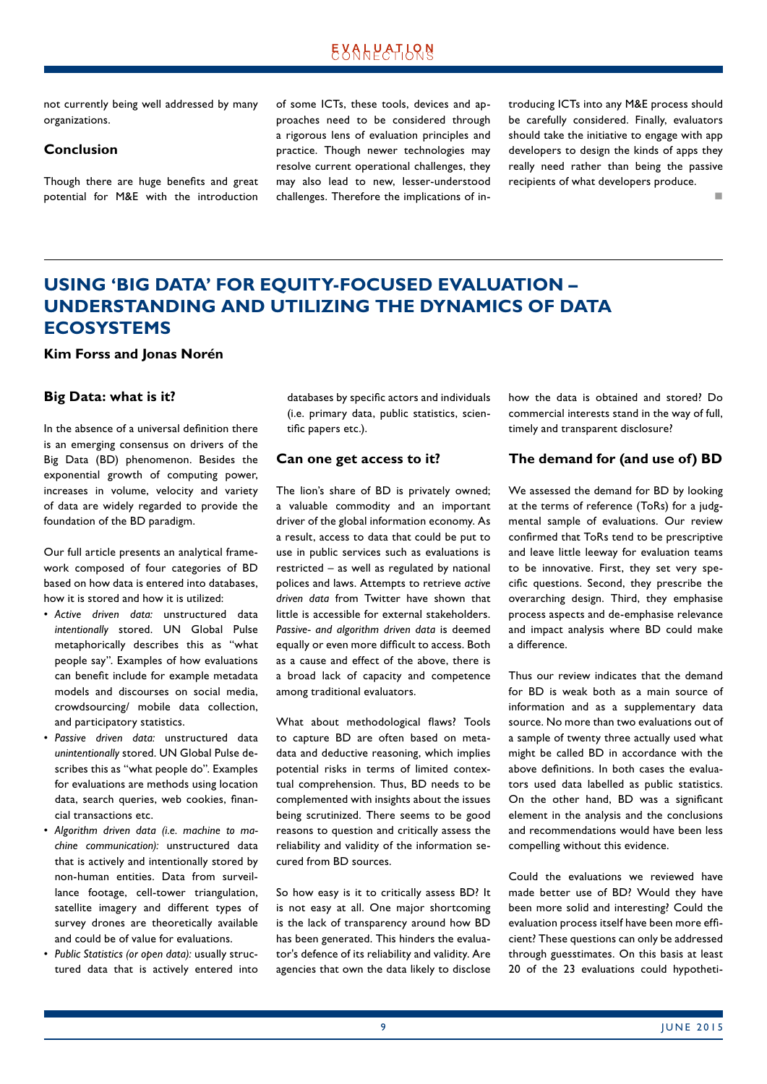<span id="page-8-0"></span>not currently being well addressed by many organizations.

### **Conclusion**

Though there are huge benefits and great potential for M&E with the introduction of some ICTs, these tools, devices and approaches need to be considered through a rigorous lens of evaluation principles and practice. Though newer technologies may resolve current operational challenges, they may also lead to new, lesser-understood challenges. Therefore the implications of introducing ICTs into any M&E process should be carefully considered. Finally, evaluators should take the initiative to engage with app developers to design the kinds of apps they really need rather than being the passive recipients of what developers produce.

n

# **USING 'BIG DATA' FOR EQUITY-FOCUSED EVALUATION – UNDERSTANDING AND UTILIZING THE DYNAMICS OF DATA ECOSYSTEMS**

**Kim Forss and Jonas Norén**

#### **Big Data: what is it?**

In the absence of a universal definition there is an emerging consensus on drivers of the Big Data (BD) phenomenon. Besides the exponential growth of computing power, increases in volume, velocity and variety of data are widely regarded to provide the foundation of the BD paradigm.

Our full article presents an analytical framework composed of four categories of BD based on how data is entered into databases, how it is stored and how it is utilized:

- *Active driven data:* unstructured data *intentionally* stored. UN Global Pulse metaphorically describes this as "what people say". Examples of how evaluations can benefit include for example metadata models and discourses on social media, crowdsourcing/ mobile data collection, and participatory statistics.
- *Passive driven data:* unstructured data *unintentionally* stored. UN Global Pulse describes this as "what people do". Examples for evaluations are methods using location data, search queries, web cookies, financial transactions etc.
- *Algorithm driven data (i.e. machine to machine communication):* unstructured data that is actively and intentionally stored by non-human entities. Data from surveillance footage, cell-tower triangulation, satellite imagery and different types of survey drones are theoretically available and could be of value for evaluations.
- *Public Statistics (or open data):* usually structured data that is actively entered into

databases by specific actors and individuals (i.e. primary data, public statistics, scientific papers etc.).

#### **Can one get access to it?**

The lion's share of BD is privately owned; a valuable commodity and an important driver of the global information economy. As a result, access to data that could be put to use in public services such as evaluations is restricted – as well as regulated by national polices and laws. Attempts to retrieve *active driven data* from Twitter have shown that little is accessible for external stakeholders. *Passive- and algorithm driven data* is deemed equally or even more difficult to access. Both as a cause and effect of the above, there is a broad lack of capacity and competence among traditional evaluators.

What about methodological flaws? Tools to capture BD are often based on metadata and deductive reasoning, which implies potential risks in terms of limited contextual comprehension. Thus, BD needs to be complemented with insights about the issues being scrutinized. There seems to be good reasons to question and critically assess the reliability and validity of the information secured from BD sources.

So how easy is it to critically assess BD? It is not easy at all. One major shortcoming is the lack of transparency around how BD has been generated. This hinders the evaluator's defence of its reliability and validity. Are agencies that own the data likely to disclose how the data is obtained and stored? Do commercial interests stand in the way of full, timely and transparent disclosure?

#### **The demand for (and use of) BD**

We assessed the demand for BD by looking at the terms of reference (ToRs) for a judgmental sample of evaluations. Our review confirmed that ToRs tend to be prescriptive and leave little leeway for evaluation teams to be innovative. First, they set very specific questions. Second, they prescribe the overarching design. Third, they emphasise process aspects and de-emphasise relevance and impact analysis where BD could make a difference.

Thus our review indicates that the demand for BD is weak both as a main source of information and as a supplementary data source. No more than two evaluations out of a sample of twenty three actually used what might be called BD in accordance with the above definitions. In both cases the evaluators used data labelled as public statistics. On the other hand, BD was a significant element in the analysis and the conclusions and recommendations would have been less compelling without this evidence.

Could the evaluations we reviewed have made better use of BD? Would they have been more solid and interesting? Could the evaluation process itself have been more efficient? These questions can only be addressed through guesstimates. On this basis at least 20 of the 23 evaluations could hypotheti-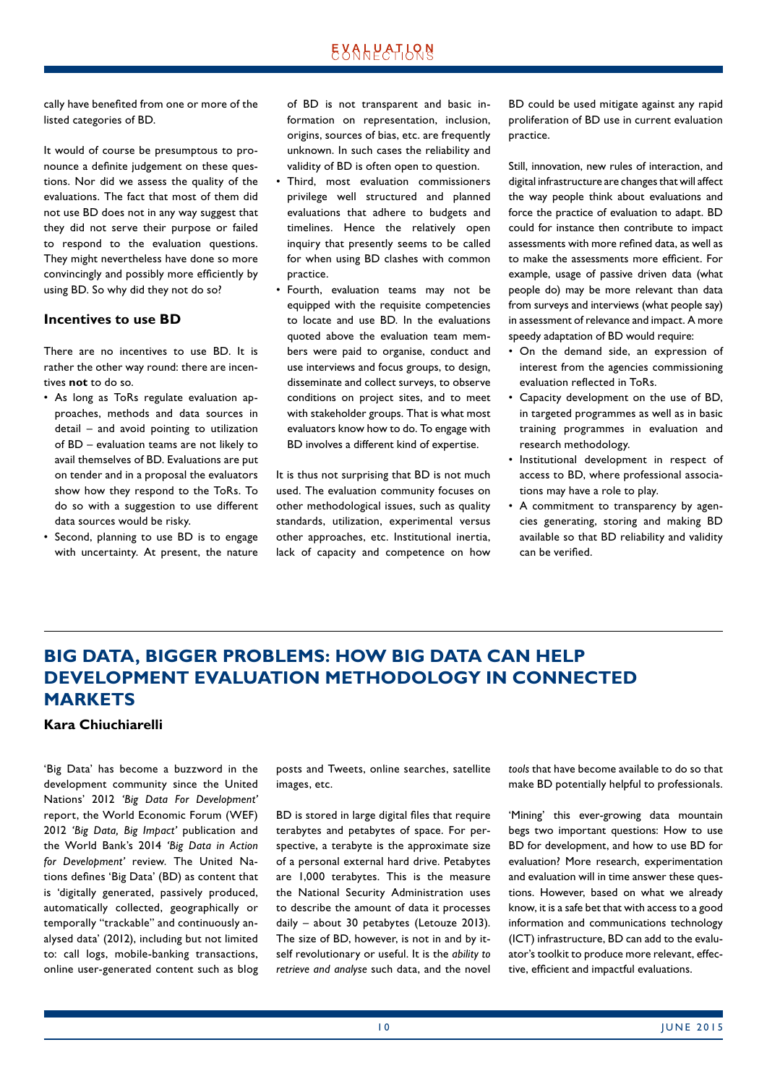<span id="page-9-0"></span>cally have benefited from one or more of the listed categories of BD.

It would of course be presumptous to pronounce a definite judgement on these questions. Nor did we assess the quality of the evaluations. The fact that most of them did not use BD does not in any way suggest that they did not serve their purpose or failed to respond to the evaluation questions. They might nevertheless have done so more convincingly and possibly more efficiently by using BD. So why did they not do so?

### **Incentives to use BD**

There are no incentives to use BD. It is rather the other way round: there are incentives **not** to do so.

- As long as ToRs regulate evaluation approaches, methods and data sources in detail – and avoid pointing to utilization of BD – evaluation teams are not likely to avail themselves of BD. Evaluations are put on tender and in a proposal the evaluators show how they respond to the ToRs. To do so with a suggestion to use different data sources would be risky.
- Second, planning to use BD is to engage with uncertainty. At present, the nature

of BD is not transparent and basic information on representation, inclusion, origins, sources of bias, etc. are frequently unknown. In such cases the reliability and validity of BD is often open to question.

- Third, most evaluation commissioners privilege well structured and planned evaluations that adhere to budgets and timelines. Hence the relatively open inquiry that presently seems to be called for when using BD clashes with common practice.
- Fourth, evaluation teams may not be equipped with the requisite competencies to locate and use BD. In the evaluations quoted above the evaluation team members were paid to organise, conduct and use interviews and focus groups, to design, disseminate and collect surveys, to observe conditions on project sites, and to meet with stakeholder groups. That is what most evaluators know how to do. To engage with BD involves a different kind of expertise.

It is thus not surprising that BD is not much used. The evaluation community focuses on other methodological issues, such as quality standards, utilization, experimental versus other approaches, etc. Institutional inertia, lack of capacity and competence on how BD could be used mitigate against any rapid proliferation of BD use in current evaluation practice.

Still, innovation, new rules of interaction, and digital infrastructure are changes that will affect the way people think about evaluations and force the practice of evaluation to adapt. BD could for instance then contribute to impact assessments with more refined data, as well as to make the assessments more efficient. For example, usage of passive driven data (what people do) may be more relevant than data from surveys and interviews (what people say) in assessment of relevance and impact. A more speedy adaptation of BD would require:

- On the demand side, an expression of interest from the agencies commissioning evaluation reflected in ToRs.
- Capacity development on the use of BD, in targeted programmes as well as in basic training programmes in evaluation and research methodology.
- Institutional development in respect of access to BD, where professional associations may have a role to play.
- A commitment to transparency by agencies generating, storing and making BD available so that BD reliability and validity can be verified.

# **BIG DATA, BIGGER PROBLEMS: HOW BIG DATA CAN HELP DEVELOPMENT EVALUATION METHODOLOGY IN CONNECTED MARKETS**

### **Kara Chiuchiarelli**

'Big Data' has become a buzzword in the development community since the United Nations' 2012 *'Big Data For Development'* report, the World Economic Forum (WEF) 2012 *'Big Data, Big Impact'* publication and the World Bank's 2014 *'Big Data in Action for Development'* review. The United Nations defines 'Big Data' (BD) as content that is 'digitally generated, passively produced, automatically collected, geographically or temporally "trackable" and continuously analysed data' (2012), including but not limited to: call logs, mobile-banking transactions, online user-generated content such as blog posts and Tweets, online searches, satellite images, etc.

BD is stored in large digital files that require terabytes and petabytes of space. For perspective, a terabyte is the approximate size of a personal external hard drive. Petabytes are 1,000 terabytes. This is the measure the National Security Administration uses to describe the amount of data it processes daily – about 30 petabytes (Letouze 2013). The size of BD, however, is not in and by itself revolutionary or useful. It is the *ability to retrieve and analyse* such data, and the novel *tools* that have become available to do so that make BD potentially helpful to professionals.

'Mining' this ever-growing data mountain begs two important questions: How to use BD for development, and how to use BD for evaluation? More research, experimentation and evaluation will in time answer these questions. However, based on what we already know, it is a safe bet that with access to a good information and communications technology (ICT) infrastructure, BD can add to the evaluator's toolkit to produce more relevant, effective, efficient and impactful evaluations.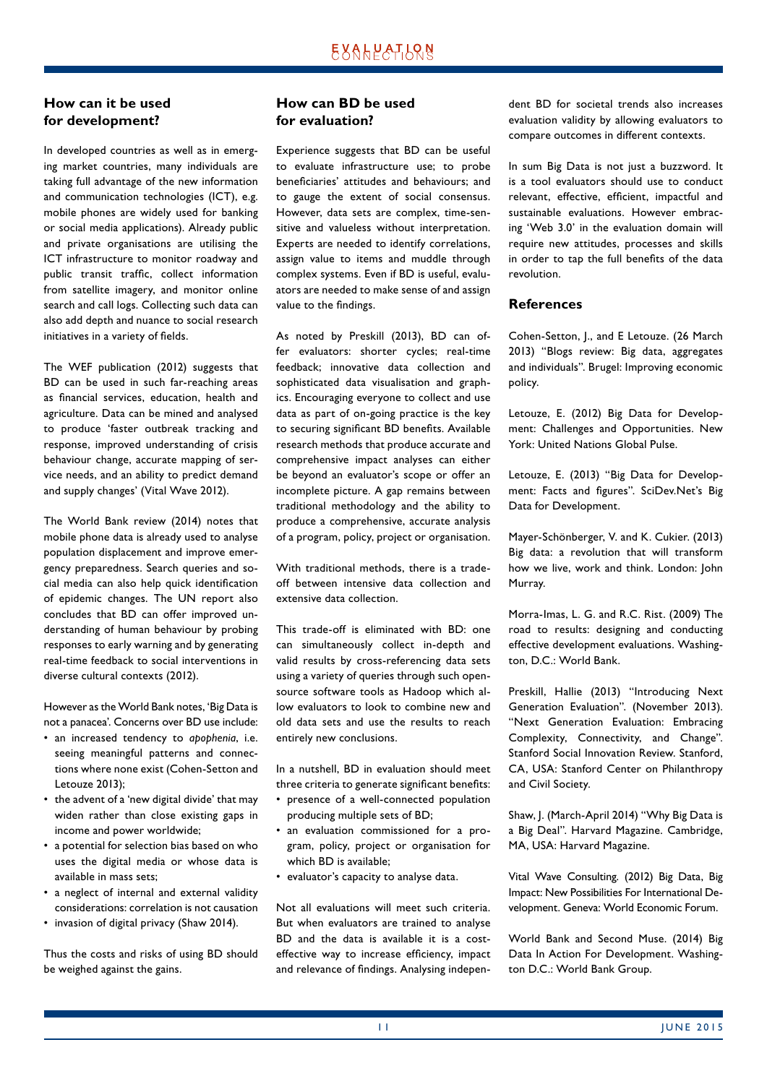### **How can it be used for development?**

In developed countries as well as in emerging market countries, many individuals are taking full advantage of the new information and communication technologies (ICT), e.g. mobile phones are widely used for banking or social media applications). Already public and private organisations are utilising the ICT infrastructure to monitor roadway and public transit traffic, collect information from satellite imagery, and monitor online search and call logs. Collecting such data can also add depth and nuance to social research initiatives in a variety of fields.

The WEF publication (2012) suggests that BD can be used in such far-reaching areas as financial services, education, health and agriculture. Data can be mined and analysed to produce 'faster outbreak tracking and response, improved understanding of crisis behaviour change, accurate mapping of service needs, and an ability to predict demand and supply changes' (Vital Wave 2012).

The World Bank review (2014) notes that mobile phone data is already used to analyse population displacement and improve emergency preparedness. Search queries and social media can also help quick identification of epidemic changes. The UN report also concludes that BD can offer improved understanding of human behaviour by probing responses to early warning and by generating real-time feedback to social interventions in diverse cultural contexts (2012).

However as the World Bank notes, 'Big Data is not a panacea'. Concerns over BD use include:

- an increased tendency to *apophenia*, i.e. seeing meaningful patterns and connections where none exist (Cohen-Setton and Letouze 2013);
- the advent of a 'new digital divide' that may widen rather than close existing gaps in income and power worldwide;
- a potential for selection bias based on who uses the digital media or whose data is available in mass sets;
- a neglect of internal and external validity considerations: correlation is not causation
- invasion of digital privacy (Shaw 2014).

Thus the costs and risks of using BD should be weighed against the gains.

### **How can BD be used for evaluation?**

Experience suggests that BD can be useful to evaluate infrastructure use; to probe beneficiaries' attitudes and behaviours; and to gauge the extent of social consensus. However, data sets are complex, time-sensitive and valueless without interpretation. Experts are needed to identify correlations, assign value to items and muddle through complex systems. Even if BD is useful, evaluators are needed to make sense of and assign value to the findings.

As noted by Preskill (2013), BD can offer evaluators: shorter cycles; real-time feedback; innovative data collection and sophisticated data visualisation and graphics. Encouraging everyone to collect and use data as part of on-going practice is the key to securing significant BD benefits. Available research methods that produce accurate and comprehensive impact analyses can either be beyond an evaluator's scope or offer an incomplete picture. A gap remains between traditional methodology and the ability to produce a comprehensive, accurate analysis of a program, policy, project or organisation.

With traditional methods, there is a tradeoff between intensive data collection and extensive data collection.

This trade-off is eliminated with BD: one can simultaneously collect in-depth and valid results by cross-referencing data sets using a variety of queries through such opensource software tools as Hadoop which allow evaluators to look to combine new and old data sets and use the results to reach entirely new conclusions.

In a nutshell, BD in evaluation should meet three criteria to generate significant benefits:

- presence of a well-connected population producing multiple sets of BD;
- an evaluation commissioned for a program, policy, project or organisation for which BD is available;
- evaluator's capacity to analyse data.

Not all evaluations will meet such criteria. But when evaluators are trained to analyse BD and the data is available it is a costeffective way to increase efficiency, impact and relevance of findings. Analysing independent BD for societal trends also increases evaluation validity by allowing evaluators to compare outcomes in different contexts.

In sum Big Data is not just a buzzword. It is a tool evaluators should use to conduct relevant, effective, efficient, impactful and sustainable evaluations. However embracing 'Web 3.0' in the evaluation domain will require new attitudes, processes and skills in order to tap the full benefits of the data revolution.

### **References**

Cohen-Setton, J., and E Letouze. (26 March 2013) "Blogs review: Big data, aggregates and individuals". Brugel: Improving economic policy.

Letouze, E. (2012) Big Data for Development: Challenges and Opportunities. New York: United Nations Global Pulse.

Letouze, E. (2013) "Big Data for Development: Facts and figures". SciDev.Net's Big Data for Development.

Mayer-Schönberger, V. and K. Cukier. (2013) Big data: a revolution that will transform how we live, work and think. London: John Murray.

Morra-Imas, L. G. and R.C. Rist. (2009) The road to results: designing and conducting effective development evaluations. Washington, D.C.: World Bank.

Preskill, Hallie (2013) "Introducing Next Generation Evaluation". (November 2013). "Next Generation Evaluation: Embracing Complexity, Connectivity, and Change". Stanford Social Innovation Review. Stanford, CA, USA: Stanford Center on Philanthropy and Civil Society.

Shaw, J. (March-April 2014) "Why Big Data is a Big Deal". Harvard Magazine. Cambridge, MA, USA: Harvard Magazine.

Vital Wave Consulting. (2012) Big Data, Big Impact: New Possibilities For International Development. Geneva: World Economic Forum.

World Bank and Second Muse. (2014) Big Data In Action For Development. Washington D.C.: World Bank Group.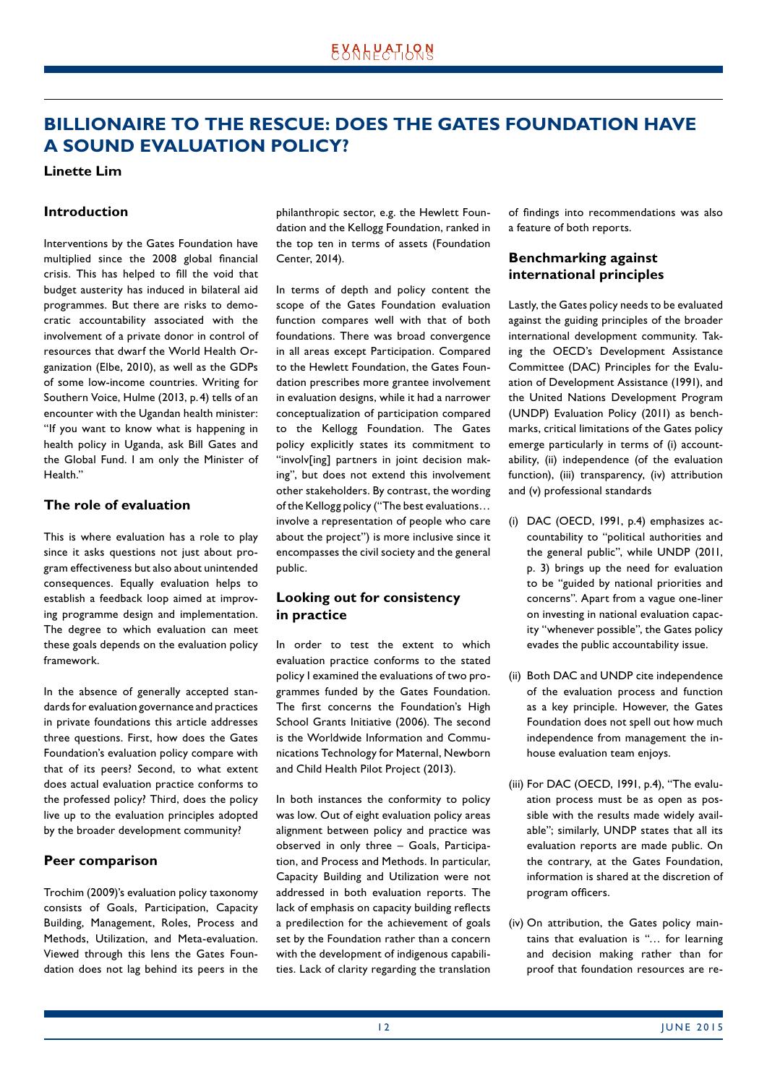# <span id="page-11-0"></span>**BILLIONAIRE TO THE RESCUE: DOES THE GATES FOUNDATION HAVE A SOUND EVALUATION POLICY?**

#### **Linette Lim**

#### **Introduction**

Interventions by the Gates Foundation have multiplied since the 2008 global financial crisis. This has helped to fill the void that budget austerity has induced in bilateral aid programmes. But there are risks to democratic accountability associated with the involvement of a private donor in control of resources that dwarf the World Health Organization (Elbe, 2010), as well as the GDPs of some low-income countries. Writing for Southern Voice, Hulme (2013, p. 4) tells of an encounter with the Ugandan health minister: "If you want to know what is happening in health policy in Uganda, ask Bill Gates and the Global Fund. I am only the Minister of Health<sup>"</sup>

### **The role of evaluation**

This is where evaluation has a role to play since it asks questions not just about program effectiveness but also about unintended consequences. Equally evaluation helps to establish a feedback loop aimed at improving programme design and implementation. The degree to which evaluation can meet these goals depends on the evaluation policy framework.

In the absence of generally accepted standards for evaluation governance and practices in private foundations this article addresses three questions. First, how does the Gates Foundation's evaluation policy compare with that of its peers? Second, to what extent does actual evaluation practice conforms to the professed policy? Third, does the policy live up to the evaluation principles adopted by the broader development community?

#### **Peer comparison**

Trochim (2009)'s evaluation policy taxonomy consists of Goals, Participation, Capacity Building, Management, Roles, Process and Methods, Utilization, and Meta-evaluation. Viewed through this lens the Gates Foundation does not lag behind its peers in the philanthropic sector, e.g. the Hewlett Foundation and the Kellogg Foundation, ranked in the top ten in terms of assets (Foundation Center, 2014).

In terms of depth and policy content the scope of the Gates Foundation evaluation function compares well with that of both foundations. There was broad convergence in all areas except Participation. Compared to the Hewlett Foundation, the Gates Foundation prescribes more grantee involvement in evaluation designs, while it had a narrower conceptualization of participation compared to the Kellogg Foundation. The Gates policy explicitly states its commitment to "involv[ing] partners in joint decision making", but does not extend this involvement other stakeholders. By contrast, the wording of the Kellogg policy ("The best evaluations… involve a representation of people who care about the project") is more inclusive since it encompasses the civil society and the general public.

### **Looking out for consistency in practice**

In order to test the extent to which evaluation practice conforms to the stated policy I examined the evaluations of two programmes funded by the Gates Foundation. The first concerns the Foundation's High School Grants Initiative (2006). The second is the Worldwide Information and Communications Technology for Maternal, Newborn and Child Health Pilot Project (2013).

In both instances the conformity to policy was low. Out of eight evaluation policy areas alignment between policy and practice was observed in only three – Goals, Participation, and Process and Methods. In particular, Capacity Building and Utilization were not addressed in both evaluation reports. The lack of emphasis on capacity building reflects a predilection for the achievement of goals set by the Foundation rather than a concern with the development of indigenous capabilities. Lack of clarity regarding the translation of findings into recommendations was also a feature of both reports.

### **Benchmarking against international principles**

Lastly, the Gates policy needs to be evaluated against the guiding principles of the broader international development community. Taking the OECD's Development Assistance Committee (DAC) Principles for the Evaluation of Development Assistance (1991), and the United Nations Development Program (UNDP) Evaluation Policy (2011) as benchmarks, critical limitations of the Gates policy emerge particularly in terms of (i) accountability, (ii) independence (of the evaluation function), (iii) transparency, (iv) attribution and (v) professional standards

- (i) DAC (OECD, 1991, p.4) emphasizes accountability to "political authorities and the general public", while UNDP (2011, p. 3) brings up the need for evaluation to be "guided by national priorities and concerns". Apart from a vague one-liner on investing in national evaluation capacity "whenever possible", the Gates policy evades the public accountability issue.
- (ii) Both DAC and UNDP cite independence of the evaluation process and function as a key principle. However, the Gates Foundation does not spell out how much independence from management the inhouse evaluation team enjoys.
- (iii) For DAC (OECD, 1991, p.4), "The evaluation process must be as open as possible with the results made widely available"; similarly, UNDP states that all its evaluation reports are made public. On the contrary, at the Gates Foundation, information is shared at the discretion of program officers.
- (iv) On attribution, the Gates policy maintains that evaluation is "… for learning and decision making rather than for proof that foundation resources are re-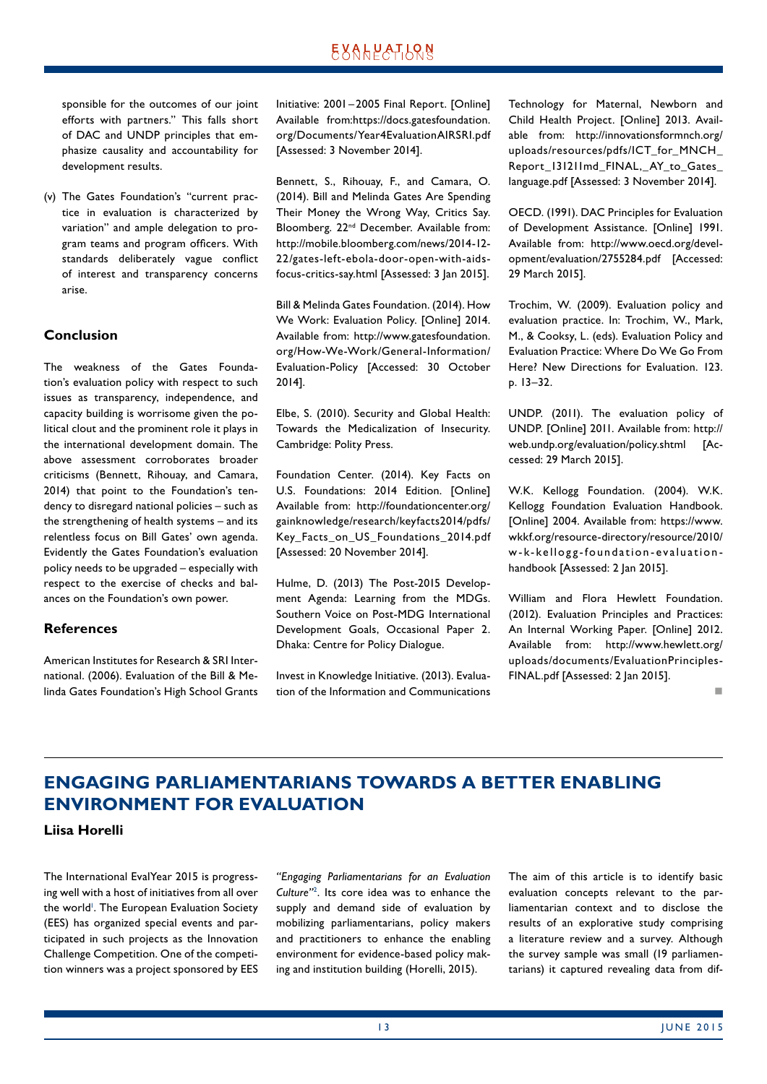<span id="page-12-0"></span>sponsible for the outcomes of our joint efforts with partners." This falls short of DAC and UNDP principles that emphasize causality and accountability for development results.

(v) The Gates Foundation's "current practice in evaluation is characterized by variation" and ample delegation to program teams and program officers. With standards deliberately vague conflict of interest and transparency concerns arise.

#### **Conclusion**

The weakness of the Gates Foundation's evaluation policy with respect to such issues as transparency, independence, and capacity building is worrisome given the political clout and the prominent role it plays in the international development domain. The above assessment corroborates broader criticisms (Bennett, Rihouay, and Camara, 2014) that point to the Foundation's tendency to disregard national policies – such as the strengthening of health systems – and its relentless focus on Bill Gates' own agenda. Evidently the Gates Foundation's evaluation policy needs to be upgraded – especially with respect to the exercise of checks and balances on the Foundation's own power.

#### **References**

American Institutes for Research & SRI International. (2006). Evaluation of the Bill & Melinda Gates Foundation's High School Grants Initiative: 2001 –2005 Final Report. [Online] Available from:https://docs.gatesfoundation. org/Documents/Year4EvaluationAIRSRI.pdf [Assessed: 3 November 2014].

Bennett, S., Rihouay, F., and Camara, O. (2014). Bill and Melinda Gates Are Spending Their Money the Wrong Way, Critics Say. Bloomberg. 22nd December. Available from: http://mobile.bloomberg.com/news/2014-12- 22/gates-left-ebola-door-open-with-aidsfocus-critics-say.html [Assessed: 3 Jan 2015].

Bill & Melinda Gates Foundation. (2014). How We Work: Evaluation Policy. [Online] 2014. Available from: http://www.gatesfoundation. org/How-We-Work/General-Information/ Evaluation-Policy [Accessed: 30 October 2014].

Elbe, S. (2010). Security and Global Health: Towards the Medicalization of Insecurity. Cambridge: Polity Press.

Foundation Center. (2014). Key Facts on U.S. Foundations: 2014 Edition. [Online] Available from: http://foundationcenter.org/ gainknowledge/research/keyfacts2014/pdfs/ Key\_Facts\_on\_US\_Foundations\_2014.pdf [Assessed: 20 November 2014].

Hulme, D. (2013) The Post-2015 Development Agenda: Learning from the MDGs. Southern Voice on Post-MDG International Development Goals, Occasional Paper 2. Dhaka: Centre for Policy Dialogue.

Invest in Knowledge Initiative. (2013). Evaluation of the Information and Communications

Technology for Maternal, Newborn and Child Health Project. [Online] 2013. Available from: http://innovationsformnch.org/ uploads/resources/pdfs/ICT\_for\_MNCH Report\_131211md\_FINAL, AY\_to\_Gates\_ language.pdf [Assessed: 3 November 2014].

OECD. (1991). DAC Principles for Evaluation of Development Assistance. [Online] 1991. Available from: http://www.oecd.org/development/evaluation/2755284.pdf [Accessed: 29 March 2015].

Trochim, W. (2009). Evaluation policy and evaluation practice. In: Trochim, W., Mark, M., & Cooksy, L. (eds). Evaluation Policy and Evaluation Practice: Where Do We Go From Here? New Directions for Evaluation. 123. p. 13–32.

UNDP. (2011). The evaluation policy of UNDP. [Online] 2011. Available from: http:// web.undp.org/evaluation/policy.shtml [Accessed: 29 March 2015].

W.K. Kellogg Foundation. (2004). W.K. Kellogg Foundation Evaluation Handbook. [Online] 2004. Available from: https://www. wkkf.org/resource-directory/resource/2010/ w-k-kellogg-foundation-evaluationhandbook [Assessed: 2 Jan 2015].

William and Flora Hewlett Foundation. (2012). Evaluation Principles and Practices: An Internal Working Paper. [Online] 2012. Available from: http://www.hewlett.org/ uploads/documents/EvaluationPrinciples-FINAL.pdf [Assessed: 2 Jan 2015].

n

# **ENGAGING PARLIAMENTARIANS TOWARDS A BETTER ENABLING ENVIRONMENT FOR EVALUATION**

#### **Liisa Horelli**

The International EvalYear 2015 is progressing well with a host of initiatives from all over the world<sup>1</sup>. The European Evaluation Society (EES) has organized special events and participated in such projects as the Innovation Challenge Competition. One of the competition winners was a project sponsored by EES

*"Engaging Parliamentarians for an Evaluation Culture"*<sup>2</sup> . Its core idea was to enhance the supply and demand side of evaluation by mobilizing parliamentarians, policy makers and practitioners to enhance the enabling environment for evidence-based policy making and institution building (Horelli, 2015).

The aim of this article is to identify basic evaluation concepts relevant to the parliamentarian context and to disclose the results of an explorative study comprising a literature review and a survey. Although the survey sample was small (19 parliamentarians) it captured revealing data from dif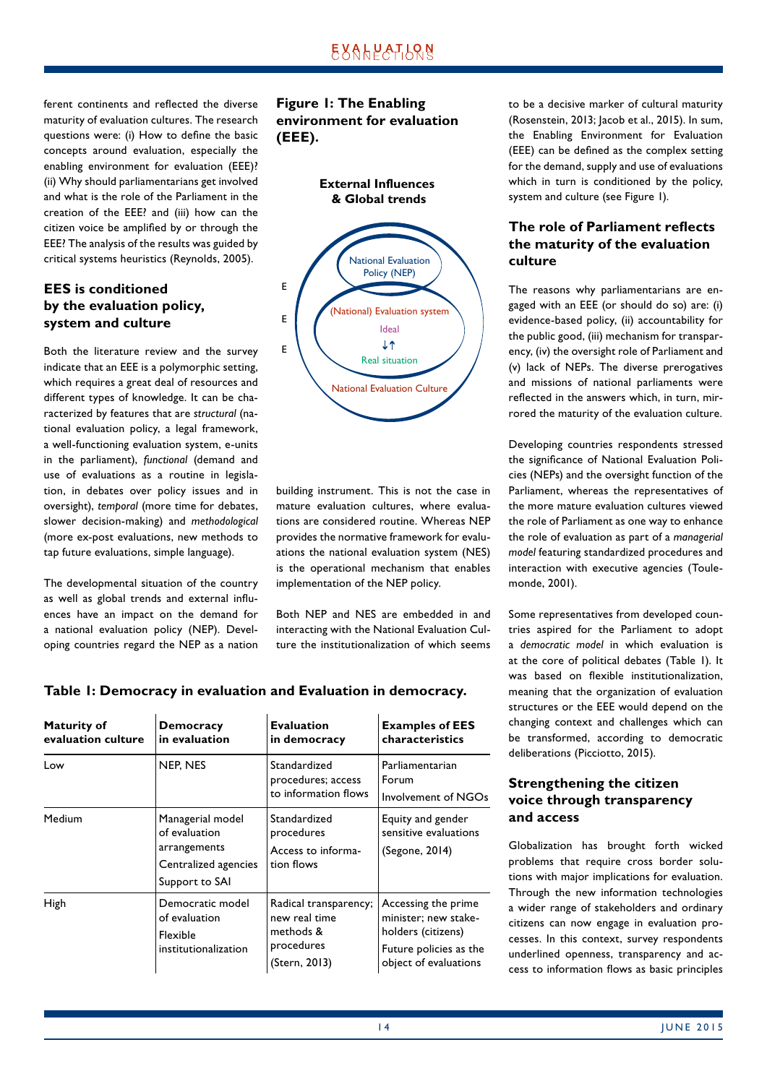ferent continents and reflected the diverse maturity of evaluation cultures. The research questions were: (i) How to define the basic concepts around evaluation, especially the enabling environment for evaluation (EEE)? (ii) Why should parliamentarians get involved and what is the role of the Parliament in the creation of the EEE? and (iii) how can the citizen voice be amplified by or through the EEE? The analysis of the results was guided by critical systems heuristics (Reynolds, 2005).

### **EES is conditioned by the evaluation policy, system and culture**

Both the literature review and the survey indicate that an EEE is a polymorphic setting, which requires a great deal of resources and different types of knowledge. It can be characterized by features that are *structural* (national evaluation policy, a legal framework, a well-functioning evaluation system, e-units in the parliament), *functional* (demand and use of evaluations as a routine in legislation, in debates over policy issues and in oversight), *temporal* (more time for debates, slower decision-making) and *methodological* (more ex-post evaluations, new methods to tap future evaluations, simple language).

The developmental situation of the country as well as global trends and external influences have an impact on the demand for a national evaluation policy (NEP). Developing countries regard the NEP as a nation **Figure 1: The Enabling environment for evaluation (EEE).**





building instrument. This is not the case in mature evaluation cultures, where evaluations are considered routine. Whereas NEP provides the normative framework for evaluations the national evaluation system (NES) is the operational mechanism that enables implementation of the NEP policy.

Both NEP and NES are embedded in and interacting with the National Evaluation Culture the institutionalization of which seems to be a decisive marker of cultural maturity (Rosenstein, 2013; Jacob et al., 2015). In sum, the Enabling Environment for Evaluation (EEE) can be defined as the complex setting for the demand, supply and use of evaluations which in turn is conditioned by the policy, system and culture (see Figure 1).

### **The role of Parliament reflects the maturity of the evaluation culture**

The reasons why parliamentarians are engaged with an EEE (or should do so) are: (i) evidence-based policy, (ii) accountability for the public good, (iii) mechanism for transparency, (iv) the oversight role of Parliament and (v) lack of NEPs. The diverse prerogatives and missions of national parliaments were reflected in the answers which, in turn, mirrored the maturity of the evaluation culture.

Developing countries respondents stressed the significance of National Evaluation Policies (NEPs) and the oversight function of the Parliament, whereas the representatives of the more mature evaluation cultures viewed the role of Parliament as one way to enhance the role of evaluation as part of a *managerial model* featuring standardized procedures and interaction with executive agencies (Toulemonde, 2001).

Some representatives from developed countries aspired for the Parliament to adopt a *democratic model* in which evaluation is at the core of political debates (Table 1). It was based on flexible institutionalization, meaning that the organization of evaluation structures or the EEE would depend on the changing context and challenges which can be transformed, according to democratic deliberations (Picciotto, 2015).

### **Strengthening the citizen voice through transparency and access**

Globalization has brought forth wicked problems that require cross border solutions with major implications for evaluation. Through the new information technologies a wider range of stakeholders and ordinary citizens can now engage in evaluation processes. In this context, survey respondents underlined openness, transparency and access to information flows as basic principles

| <b>Maturity of</b><br>evaluation culture | <b>Democracy</b><br>in evaluation                                                           | <b>Evaluation</b><br>in democracy                                                  | <b>Examples of EES</b><br>characteristics                                                                            |
|------------------------------------------|---------------------------------------------------------------------------------------------|------------------------------------------------------------------------------------|----------------------------------------------------------------------------------------------------------------------|
| Low                                      | NEP, NES                                                                                    | Standardized<br>procedures; access<br>to information flows                         | Parliamentarian<br>Forum<br>Involvement of NGOs                                                                      |
| Medium                                   | Managerial model<br>of evaluation<br>arrangements<br>Centralized agencies<br>Support to SAI | Standardized<br>procedures<br>Access to informa-<br>tion flows                     | Equity and gender<br>sensitive evaluations<br>(Segone, 2014)                                                         |
| High                                     | Democratic model<br>of evaluation<br>Flexible<br>institutionalization                       | Radical transparency;<br>new real time<br>methods &<br>procedures<br>(Stern, 2013) | Accessing the prime<br>minister; new stake-<br>holders (citizens)<br>Future policies as the<br>object of evaluations |

### **Table 1: Democracy in evaluation and Evaluation in democracy.**

**Evaluation**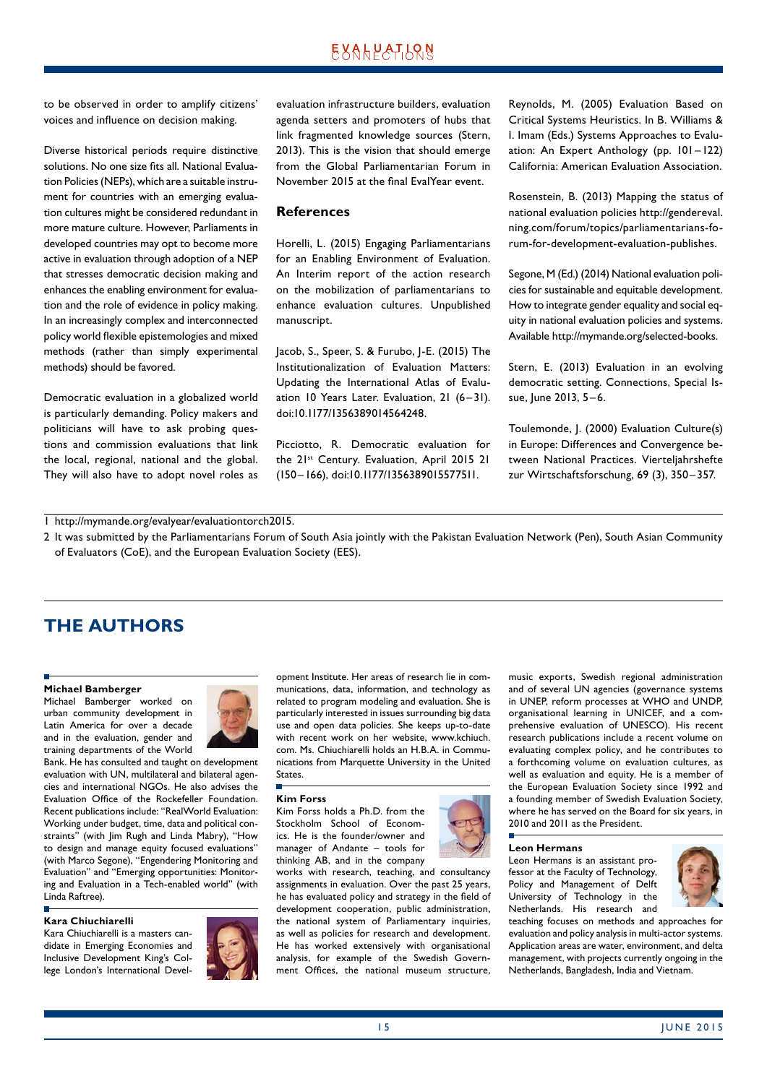# <u> EXAHPATIONS</u>

<span id="page-14-0"></span>to be observed in order to amplify citizens' voices and influence on decision making.

Diverse historical periods require distinctive solutions. No one size fits all. National Evaluation Policies (NEPs), which are a suitable instrument for countries with an emerging evaluation cultures might be considered redundant in more mature culture. However, Parliaments in developed countries may opt to become more active in evaluation through adoption of a NEP that stresses democratic decision making and enhances the enabling environment for evaluation and the role of evidence in policy making. In an increasingly complex and interconnected policy world flexible epistemologies and mixed methods (rather than simply experimental methods) should be favored.

Democratic evaluation in a globalized world is particularly demanding. Policy makers and politicians will have to ask probing questions and commission evaluations that link the local, regional, national and the global. They will also have to adopt novel roles as evaluation infrastructure builders, evaluation agenda setters and promoters of hubs that link fragmented knowledge sources (Stern, 2013). This is the vision that should emerge from the Global Parliamentarian Forum in November 2015 at the final EvalYear event.

#### **References**

Horelli, L. (2015) Engaging Parliamentarians for an Enabling Environment of Evaluation. An Interim report of the action research on the mobilization of parliamentarians to enhance evaluation cultures. Unpublished manuscript.

Jacob, S., Speer, S. & Furubo, J-E. (2015) The Institutionalization of Evaluation Matters: Updating the International Atlas of Evaluation 10 Years Later. Evaluation, 21 (6-31). doi:10.1177/1356389014564248.

Picciotto, R. Democratic evaluation for the 21<sup>st</sup> Century. Evaluation, April 2015 21 (150–166), doi:10.1177/1356389015577511.

Reynolds, M. (2005) Evaluation Based on Critical Systems Heuristics. In B. Williams & I. Imam (Eds.) Systems Approaches to Evaluation: An Expert Anthology (pp. 101–122) California: American Evaluation Association.

Rosenstein, B. (2013) Mapping the status of national evaluation policies http://gendereval. ning.com/forum/topics/parliamentarians-forum-for-development-evaluation-publishes.

Segone, M (Ed.) (2014) National evaluation policies for sustainable and equitable development. How to integrate gender equality and social equity in national evaluation policies and systems. Available http://mymande.org/selected-books.

Stern, E. (2013) Evaluation in an evolving democratic setting. Connections, Special Issue, June 2013, 5 –6.

Toulemonde, J. (2000) Evaluation Culture(s) in Europe: Differences and Convergence between National Practices. Vierteljahrshefte zur Wirtschaftsforschung, 69 (3), 350–357.

1 http://mymande.org/evalyear/evaluationtorch2015.

2 It was submitted by the Parliamentarians Forum of South Asia jointly with the Pakistan Evaluation Network (Pen), South Asian Community of Evaluators (CoE), and the European Evaluation Society (EES).

# **THE AUTHORS**

#### **Michael Bamberger**

Michael Bamberger worked on urban community development in Latin America for over a decade and in the evaluation, gender and training departments of the World



Bank. He has consulted and taught on development evaluation with UN, multilateral and bilateral agencies and international NGOs. He also advises the Evaluation Office of the Rockefeller Foundation. Recent publications include: "RealWorld Evaluation: Working under budget, time, data and political constraints" (with Jim Rugh and Linda Mabry), "How to design and manage equity focused evaluations" (with Marco Segone), "Engendering Monitoring and Evaluation" and "Emerging opportunities: Monitoring and Evaluation in a Tech-enabled world" (with Linda Raftree).

#### **Kara Chiuchiarelli**

Kara Chiuchiarelli is a masters candidate in Emerging Economies and Inclusive Development King's College London's International Devel-



opment Institute. Her areas of research lie in communications, data, information, and technology as related to program modeling and evaluation. She is particularly interested in issues surrounding big data use and open data policies. She keeps up-to-date with recent work on her website, www.kchiuch. com. Ms. Chiuchiarelli holds an H.B.A. in Communications from Marquette University in the United States.

#### **Kim Forss**

Kim Forss holds a Ph.D. from the Stockholm School of Economics. He is the founder/owner and manager of Andante – tools for thinking AB, and in the company

works with research, teaching, and consultancy assignments in evaluation. Over the past 25 years, he has evaluated policy and strategy in the field of development cooperation, public administration, the national system of Parliamentary inquiries, as well as policies for research and development. He has worked extensively with organisational analysis, for example of the Swedish Government Offices, the national museum structure,



music exports, Swedish regional administration and of several UN agencies (governance systems in UNEP, reform processes at WHO and UNDP, organisational learning in UNICEF, and a comprehensive evaluation of UNESCO). His recent research publications include a recent volume on evaluating complex policy, and he contributes to a forthcoming volume on evaluation cultures, as well as evaluation and equity. He is a member of the European Evaluation Society since 1992 and a founding member of Swedish Evaluation Society, where he has served on the Board for six years, in 2010 and 2011 as the President.

#### **Leon Hermans**

Leon Hermans is an assistant professor at the Faculty of Technology, Policy and Management of Delft University of Technology in the Netherlands. His research and



teaching focuses on methods and approaches for evaluation and policy analysis in multi-actor systems. Application areas are water, environment, and delta management, with projects currently ongoing in the Netherlands, Bangladesh, India and Vietnam.